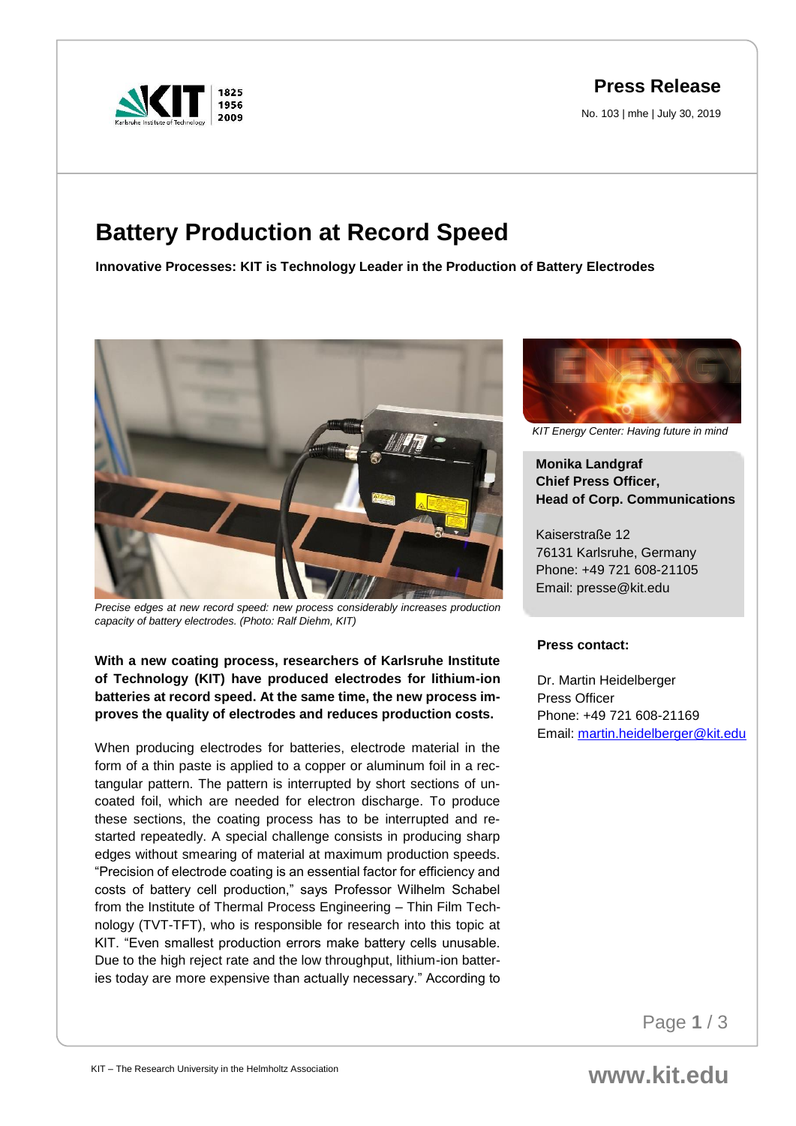

## **Press Release**

No. 103 | mhe | July 30, 2019

# **Battery Production at Record Speed**

**Innovative Processes: KIT is Technology Leader in the Production of Battery Electrodes**



*Precise edges at new record speed: new process considerably increases production capacity of battery electrodes. (Photo: Ralf Diehm, KIT)*

### **With a new coating process, researchers of Karlsruhe Institute of Technology (KIT) have produced electrodes for lithium-ion batteries at record speed. At the same time, the new process improves the quality of electrodes and reduces production costs.**

When producing electrodes for batteries, electrode material in the form of a thin paste is applied to a copper or aluminum foil in a rectangular pattern. The pattern is interrupted by short sections of uncoated foil, which are needed for electron discharge. To produce these sections, the coating process has to be interrupted and restarted repeatedly. A special challenge consists in producing sharp edges without smearing of material at maximum production speeds. "Precision of electrode coating is an essential factor for efficiency and costs of battery cell production," says Professor Wilhelm Schabel from the Institute of Thermal Process Engineering – Thin Film Technology (TVT-TFT), who is responsible for research into this topic at KIT. "Even smallest production errors make battery cells unusable. Due to the high reject rate and the low throughput, lithium-ion batteries today are more expensive than actually necessary." According to



*KIT Energy Center: Having future in mind*

**Monika Landgraf Chief Press Officer, Head of Corp. Communications**

Kaiserstraße 12 76131 Karlsruhe, Germany Phone: +49 721 608-21105 Email: presse@kit.edu

#### **Press contact:**

Dr. Martin Heidelberger Press Officer Phone: +49 721 608-21169 Email: [martin.heidelberger@kit.edu](mailto:martin.heidelberger@kit.edu)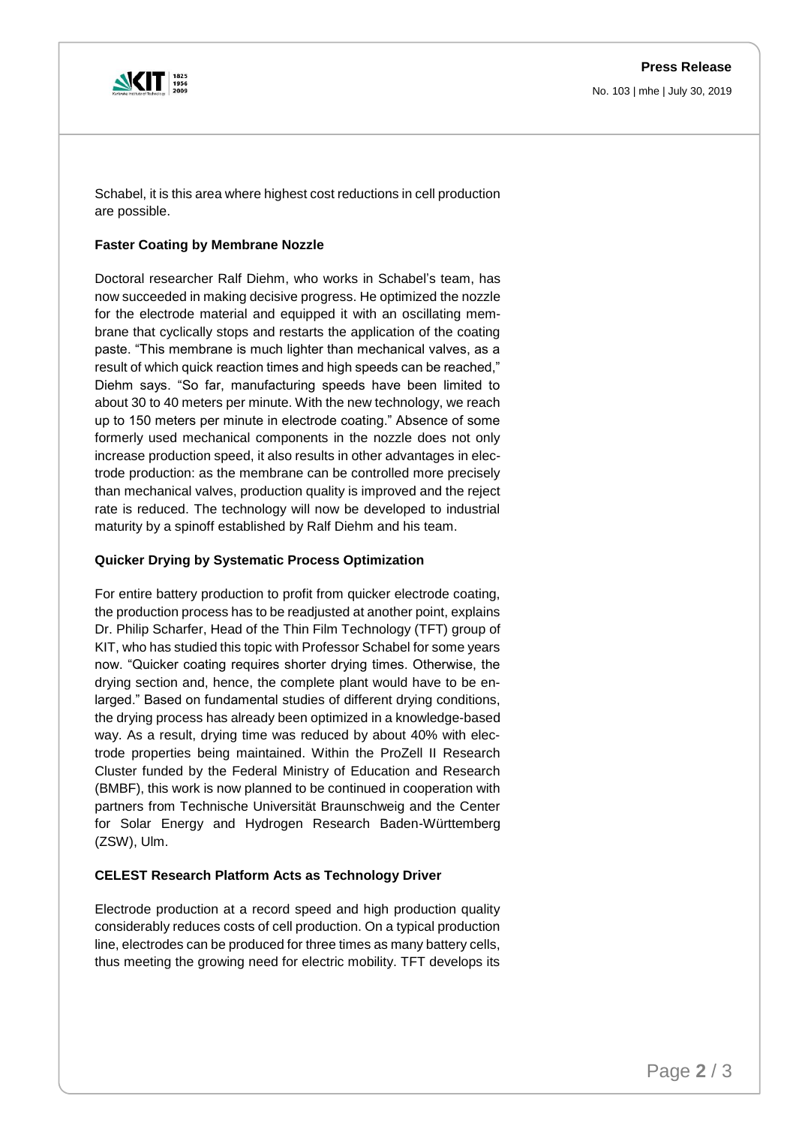

No. 103 | mhe | July 30, 2019

Schabel, it is this area where highest cost reductions in cell production are possible.

#### **Faster Coating by Membrane Nozzle**

Doctoral researcher Ralf Diehm, who works in Schabel's team, has now succeeded in making decisive progress. He optimized the nozzle for the electrode material and equipped it with an oscillating membrane that cyclically stops and restarts the application of the coating paste. "This membrane is much lighter than mechanical valves, as a result of which quick reaction times and high speeds can be reached," Diehm says. "So far, manufacturing speeds have been limited to about 30 to 40 meters per minute. With the new technology, we reach up to 150 meters per minute in electrode coating." Absence of some formerly used mechanical components in the nozzle does not only increase production speed, it also results in other advantages in electrode production: as the membrane can be controlled more precisely than mechanical valves, production quality is improved and the reject rate is reduced. The technology will now be developed to industrial maturity by a spinoff established by Ralf Diehm and his team.

#### **Quicker Drying by Systematic Process Optimization**

For entire battery production to profit from quicker electrode coating, the production process has to be readjusted at another point, explains Dr. Philip Scharfer, Head of the Thin Film Technology (TFT) group of KIT, who has studied this topic with Professor Schabel for some years now. "Quicker coating requires shorter drying times. Otherwise, the drying section and, hence, the complete plant would have to be enlarged." Based on fundamental studies of different drying conditions, the drying process has already been optimized in a knowledge-based way. As a result, drying time was reduced by about 40% with electrode properties being maintained. Within the ProZell II Research Cluster funded by the Federal Ministry of Education and Research (BMBF), this work is now planned to be continued in cooperation with partners from Technische Universität Braunschweig and the Center for Solar Energy and Hydrogen Research Baden-Württemberg (ZSW), Ulm.

#### **CELEST Research Platform Acts as Technology Driver**

Electrode production at a record speed and high production quality considerably reduces costs of cell production. On a typical production line, electrodes can be produced for three times as many battery cells, thus meeting the growing need for electric mobility. TFT develops its